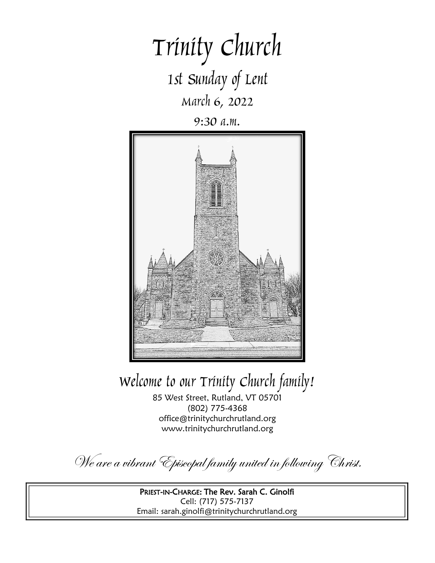# Trinity Church 1st Sunday of Lent March 6, 2022

9:30 a.m.



Welcome to our Trinity Church family!

85 West Street, Rutland, VT 05701 (802) 775-4368 office@trinitychurchrutland.org www.trinitychurchrutland.org

We are a vibrant Episcopal family united in following Christ.

PRIEST-IN-CHARGE: The Rev. Sarah C. Ginolfi Cell: (717) 575-7137 Email: sarah.ginolfi@trinitychurchrutland.org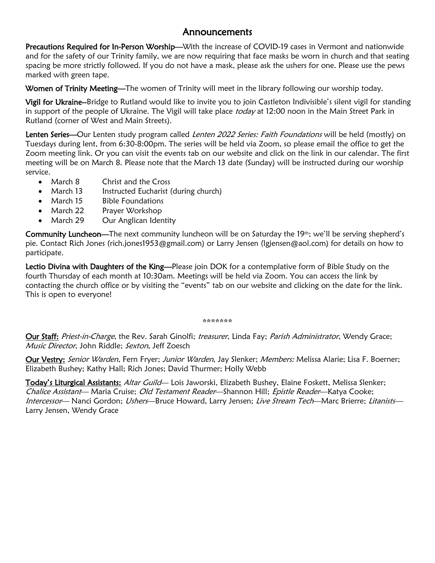### Announcements

Precautions Required for In-Person Worship—With the increase of COVID-19 cases in Vermont and nationwide and for the safety of our Trinity family, we are now requiring that face masks be worn in church and that seating spacing be more strictly followed. If you do not have a mask, please ask the ushers for one. Please use the pews marked with green tape.

Women of Trinity Meeting—The women of Trinity will meet in the library following our worship today.

Vigil for Ukraine--Bridge to Rutland would like to invite you to join Castleton Indivisible's silent vigil for standing in support of the people of Ukraine. The Vigil will take place today at 12:00 noon in the Main Street Park in Rutland (corner of West and Main Streets).

Lenten Series—Our Lenten study program called Lenten 2022 Series: Faith Foundations will be held (mostly) on Tuesdays during lent, from 6:30-8:00pm. The series will be held via Zoom, so please email the office to get the Zoom meeting link. Or you can visit the events tab on our website and click on the link in our calendar. The first meeting will be on March 8. Please note that the March 13 date (Sunday) will be instructed during our worship service.

- March 8 Christ and the Cross
- March 13 Instructed Eucharist (during church)
- March 15 Bible Foundations
- March 22 Prayer Workshop
- March 29 Our Anglican Identity

Community Luncheon—The next community luncheon will be on Saturday the 19th; we'll be serving shepherd's pie. Contact Rich Jones (rich.jones1953@gmail.com) or Larry Jensen (lgjensen@aol.com) for details on how to participate.

Lectio Divina with Daughters of the King-Please join DOK for a contemplative form of Bible Study on the fourth Thursday of each month at 10:30am. Meetings will be held via Zoom. You can access the link by contacting the church office or by visiting the "events" tab on our website and clicking on the date for the link. This is open to everyone!

### \*\*\*\*\*\*\*

Our Staff: Priest-in-Charge, the Rev. Sarah Ginolfi; treasurer, Linda Fay; Parish Administrator, Wendy Grace; Music Director, John Riddle; Sexton, Jeff Zoesch

Our Vestry: Senior Warden, Fern Fryer; Junior Warden, Jay Slenker; Members: Melissa Alarie; Lisa F. Boerner; Elizabeth Bushey; Kathy Hall; Rich Jones; David Thurmer; Holly Webb

Today's Liturgical Assistants: Altar Guild— Lois Jaworski, Elizabeth Bushey, Elaine Foskett, Melissa Slenker; Chalice Assistant— Maria Cruise; Old Testament Reader—Shannon Hill; Epistle Reader—Katya Cooke; Intercessor— Nanci Gordon; Ushers—Bruce Howard, Larry Jensen; Live Stream Tech—Marc Brierre; Litanists— Larry Jensen, Wendy Grace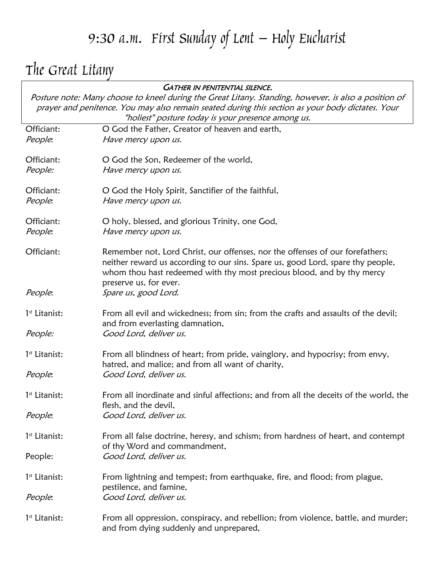# 9:30 a.m. First Sunday of Lent – Holy Eucharist

# The Great Litany

|                                                                                                      | <b>GATHER IN PENITENTIAL SILENCE.</b>                                                 |  |
|------------------------------------------------------------------------------------------------------|---------------------------------------------------------------------------------------|--|
| Posture note: Many choose to kneel during the Great Litany. Standing, however, is also a position of |                                                                                       |  |
| prayer and penitence. You may also remain seated during this section as your body dictates. Your     |                                                                                       |  |
|                                                                                                      | "holiest" posture today is your presence among us.                                    |  |
| Officiant:                                                                                           | O God the Father, Creator of heaven and earth,                                        |  |
| People:                                                                                              | Have mercy upon us.                                                                   |  |
|                                                                                                      |                                                                                       |  |
| Officiant:                                                                                           | O God the Son, Redeemer of the world,                                                 |  |
| People:                                                                                              | Have mercy upon us.                                                                   |  |
|                                                                                                      |                                                                                       |  |
| Officiant:                                                                                           | O God the Holy Spirit, Sanctifier of the faithful,                                    |  |
| People:                                                                                              | Have mercy upon us.                                                                   |  |
| Officiant:                                                                                           | O holy, blessed, and glorious Trinity, one God,                                       |  |
| People:                                                                                              | Have mercy upon us.                                                                   |  |
|                                                                                                      |                                                                                       |  |
| Officiant:                                                                                           | Remember not, Lord Christ, our offenses, nor the offenses of our forefathers;         |  |
|                                                                                                      | neither reward us according to our sins. Spare us, good Lord, spare thy people,       |  |
|                                                                                                      | whom thou hast redeemed with thy most precious blood, and by thy mercy                |  |
|                                                                                                      | preserve us, for ever.                                                                |  |
| People:                                                                                              | Spare us, good Lord.                                                                  |  |
| 1 <sup>st</sup> Litanist:                                                                            | From all evil and wickedness; from sin; from the crafts and assaults of the devil;    |  |
|                                                                                                      | and from everlasting damnation,                                                       |  |
| People:                                                                                              | Good Lord, deliver us.                                                                |  |
|                                                                                                      |                                                                                       |  |
| 1 <sup>st</sup> Litanist:                                                                            | From all blindness of heart; from pride, vainglory, and hypocrisy; from envy,         |  |
|                                                                                                      | hatred, and malice; and from all want of charity,                                     |  |
| People:                                                                                              | Good Lord, deliver us.                                                                |  |
|                                                                                                      |                                                                                       |  |
| 1 <sup>st</sup> Litanist:                                                                            | From all inordinate and sinful affections; and from all the deceits of the world, the |  |
|                                                                                                      | flesh, and the devil,                                                                 |  |
| People:                                                                                              | Good Lord, deliver us.                                                                |  |
|                                                                                                      |                                                                                       |  |
| 1 <sup>st</sup> Litanist:                                                                            | From all false doctrine, heresy, and schism; from hardness of heart, and contempt     |  |
|                                                                                                      | of thy Word and commandment,<br>Good Lord, deliver us.                                |  |
| People:                                                                                              |                                                                                       |  |
| 1 <sup>st</sup> Litanist:                                                                            | From lightning and tempest; from earthquake, fire, and flood; from plague,            |  |
|                                                                                                      | pestilence, and famine,                                                               |  |
| People:                                                                                              | Good Lord, deliver us.                                                                |  |
|                                                                                                      |                                                                                       |  |
| 1 <sup>st</sup> Litanist:                                                                            | From all oppression, conspiracy, and rebellion; from violence, battle, and murder;    |  |
|                                                                                                      | and from dying suddenly and unprepared,                                               |  |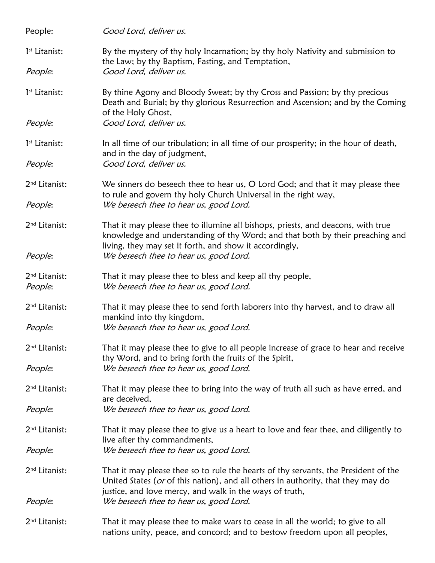| People:                              | Good Lord, deliver us.                                                                                                                                                                                                       |  |  |
|--------------------------------------|------------------------------------------------------------------------------------------------------------------------------------------------------------------------------------------------------------------------------|--|--|
| $1st$ Litanist:                      | By the mystery of thy holy Incarnation; by thy holy Nativity and submission to<br>the Law; by thy Baptism, Fasting, and Temptation,                                                                                          |  |  |
| People:                              | Good Lord, deliver us.                                                                                                                                                                                                       |  |  |
| 1st Litanist:                        | By thine Agony and Bloody Sweat; by thy Cross and Passion; by thy precious<br>Death and Burial; by thy glorious Resurrection and Ascension; and by the Coming<br>of the Holy Ghost,                                          |  |  |
| People:                              | Good Lord, deliver us.                                                                                                                                                                                                       |  |  |
| $1st$ Litanist:                      | In all time of our tribulation; in all time of our prosperity; in the hour of death,<br>and in the day of judgment,                                                                                                          |  |  |
| People:                              | Good Lord, deliver us.                                                                                                                                                                                                       |  |  |
| 2 <sup>nd</sup> Litanist:            | We sinners do beseech thee to hear us, O Lord God; and that it may please thee<br>to rule and govern thy holy Church Universal in the right way,                                                                             |  |  |
| People:                              | We beseech thee to hear us, good Lord.                                                                                                                                                                                       |  |  |
| 2 <sup>nd</sup> Litanist:            | That it may please thee to illumine all bishops, priests, and deacons, with true<br>knowledge and understanding of thy Word; and that both by their preaching and<br>living, they may set it forth, and show it accordingly, |  |  |
| People:                              | We beseech thee to hear us, good Lord.                                                                                                                                                                                       |  |  |
| 2 <sup>nd</sup> Litanist:<br>People: | That it may please thee to bless and keep all thy people,<br>We beseech thee to hear us, good Lord.                                                                                                                          |  |  |
| 2 <sup>nd</sup> Litanist:            | That it may please thee to send forth laborers into thy harvest, and to draw all<br>mankind into thy kingdom,                                                                                                                |  |  |
| People:                              | We beseech thee to hear us, good Lord.                                                                                                                                                                                       |  |  |
| 2 <sup>nd</sup> Litanist:            | That it may please thee to give to all people increase of grace to hear and receive<br>thy Word, and to bring forth the fruits of the Spirit,                                                                                |  |  |
| People:                              | We beseech thee to hear us, good Lord.                                                                                                                                                                                       |  |  |
| 2 <sup>nd</sup> Litanist:            | That it may please thee to bring into the way of truth all such as have erred, and<br>are deceived,                                                                                                                          |  |  |
| People:                              | We beseech thee to hear us, good Lord.                                                                                                                                                                                       |  |  |
| 2 <sup>nd</sup> Litanist:            | That it may please thee to give us a heart to love and fear thee, and diligently to<br>live after thy commandments,                                                                                                          |  |  |
| People:                              | We beseech thee to hear us, good Lord.                                                                                                                                                                                       |  |  |
| 2 <sup>nd</sup> Litanist:            | That it may please thee so to rule the hearts of thy servants, the President of the<br>United States (or of this nation), and all others in authority, that they may do                                                      |  |  |
| People:                              | justice, and love mercy, and walk in the ways of truth,<br>We beseech thee to hear us, good Lord.                                                                                                                            |  |  |
| 2 <sup>nd</sup> Litanist:            | That it may please thee to make wars to cease in all the world; to give to all<br>nations unity, peace, and concord; and to bestow freedom upon all peoples,                                                                 |  |  |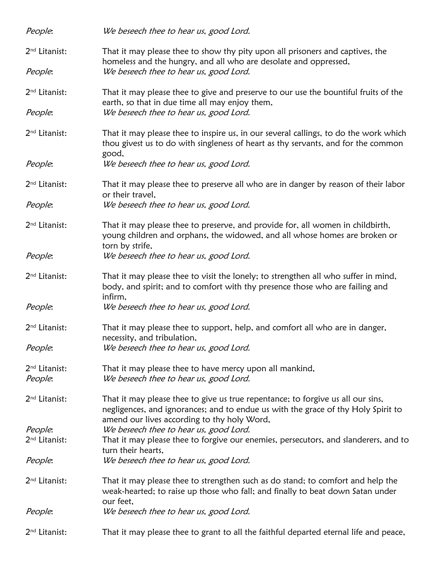| People:                              | We beseech thee to hear us, good Lord.                                                                                                                                                                              |  |  |  |
|--------------------------------------|---------------------------------------------------------------------------------------------------------------------------------------------------------------------------------------------------------------------|--|--|--|
| 2 <sup>nd</sup> Litanist:            | That it may please thee to show thy pity upon all prisoners and captives, the<br>homeless and the hungry, and all who are desolate and oppressed,                                                                   |  |  |  |
| People:                              | We beseech thee to hear us, good Lord.                                                                                                                                                                              |  |  |  |
| 2 <sup>nd</sup> Litanist:            | That it may please thee to give and preserve to our use the bountiful fruits of the<br>earth, so that in due time all may enjoy them,                                                                               |  |  |  |
| People:                              | We beseech thee to hear us, good Lord.                                                                                                                                                                              |  |  |  |
| 2 <sup>nd</sup> Litanist:            | That it may please thee to inspire us, in our several callings, to do the work which<br>thou givest us to do with singleness of heart as thy servants, and for the common<br>good,                                  |  |  |  |
| People:                              | We beseech thee to hear us, good Lord.                                                                                                                                                                              |  |  |  |
| 2 <sup>nd</sup> Litanist:            | That it may please thee to preserve all who are in danger by reason of their labor<br>or their travel,                                                                                                              |  |  |  |
| People:                              | We beseech thee to hear us, good Lord.                                                                                                                                                                              |  |  |  |
| 2 <sup>nd</sup> Litanist:            | That it may please thee to preserve, and provide for, all women in childbirth,<br>young children and orphans, the widowed, and all whose homes are broken or<br>torn by strife,                                     |  |  |  |
| People:                              | We beseech thee to hear us, good Lord.                                                                                                                                                                              |  |  |  |
| 2 <sup>nd</sup> Litanist:            | That it may please thee to visit the lonely; to strengthen all who suffer in mind,<br>body, and spirit; and to comfort with thy presence those who are failing and<br>infirm,                                       |  |  |  |
| People:                              | We beseech thee to hear us, good Lord.                                                                                                                                                                              |  |  |  |
| 2 <sup>nd</sup> Litanist:            | That it may please thee to support, help, and comfort all who are in danger,<br>necessity, and tribulation,                                                                                                         |  |  |  |
| People:                              | We beseech thee to hear us, good Lord.                                                                                                                                                                              |  |  |  |
| 2 <sup>nd</sup> Litanist:<br>People: | That it may please thee to have mercy upon all mankind,<br>We beseech thee to hear us, good Lord.                                                                                                                   |  |  |  |
| 2 <sup>nd</sup> Litanist:            | That it may please thee to give us true repentance; to forgive us all our sins,<br>negligences, and ignorances; and to endue us with the grace of thy Holy Spirit to<br>amend our lives according to thy holy Word, |  |  |  |
| People:                              | We beseech thee to hear us, good Lord.                                                                                                                                                                              |  |  |  |
| 2 <sup>nd</sup> Litanist:            | That it may please thee to forgive our enemies, persecutors, and slanderers, and to<br>turn their hearts,                                                                                                           |  |  |  |
| People:                              | We beseech thee to hear us, good Lord.                                                                                                                                                                              |  |  |  |
| 2 <sup>nd</sup> Litanist:            | That it may please thee to strengthen such as do stand; to comfort and help the<br>weak-hearted; to raise up those who fall; and finally to beat down Satan under<br>our feet,                                      |  |  |  |
| People:                              | We beseech thee to hear us, good Lord.                                                                                                                                                                              |  |  |  |
| 2 <sup>nd</sup> Litanist:            | That it may please thee to grant to all the faithful departed eternal life and peace,                                                                                                                               |  |  |  |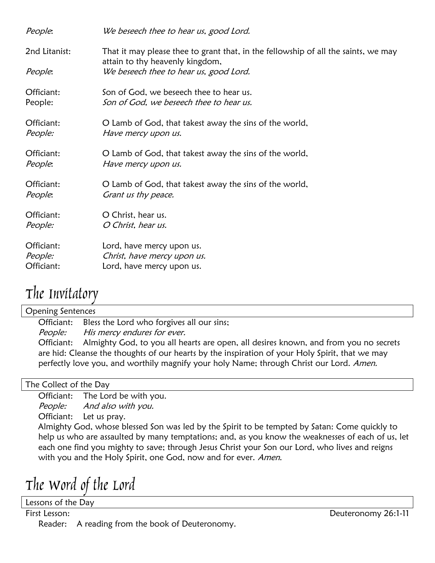| People:       | We beseech thee to hear us, good Lord.                                                                                |
|---------------|-----------------------------------------------------------------------------------------------------------------------|
| 2nd Litanist: | That it may please thee to grant that, in the fellowship of all the saints, we may<br>attain to thy heavenly kingdom, |
| People:       | We beseech thee to hear us, good Lord.                                                                                |
| Officiant:    | Son of God, we beseech thee to hear us.                                                                               |
| People:       | Son of God, we beseech thee to hear us.                                                                               |
| Officiant:    | O Lamb of God, that takest away the sins of the world,                                                                |
| People:       | Have mercy upon us.                                                                                                   |
| Officiant:    | O Lamb of God, that takest away the sins of the world,                                                                |
| People:       | Have mercy upon us.                                                                                                   |
| Officiant:    | O Lamb of God, that takest away the sins of the world,                                                                |
| People:       | Grant us thy peace.                                                                                                   |
| Officiant:    | O Christ, hear us.                                                                                                    |
| People:       | O Christ, hear us.                                                                                                    |
| Officiant:    | Lord, have mercy upon us.                                                                                             |
| People:       | Christ, have mercy upon us.                                                                                           |
| Officiant:    | Lord, have mercy upon us.                                                                                             |
|               |                                                                                                                       |

## The Invitatory

Opening Sentences

Officiant: Bless the Lord who forgives all our sins;

People: His mercy endures for ever.

Officiant: Almighty God, to you all hearts are open, all desires known, and from you no secrets are hid: Cleanse the thoughts of our hearts by the inspiration of your Holy Spirit, that we may perfectly love you, and worthily magnify your holy Name; through Christ our Lord. Amen.

### The Collect of the Day

Officiant: The Lord be with you. People: And also with you. Officiant: Let us pray.

Almighty God, whose blessed Son was led by the Spirit to be tempted by Satan: Come quickly to help us who are assaulted by many temptations; and, as you know the weaknesses of each of us, let each one find you mighty to save; through Jesus Christ your Son our Lord, who lives and reigns with you and the Holy Spirit, one God, now and for ever. Amen.

The Word of the Lord

Lessons of the Day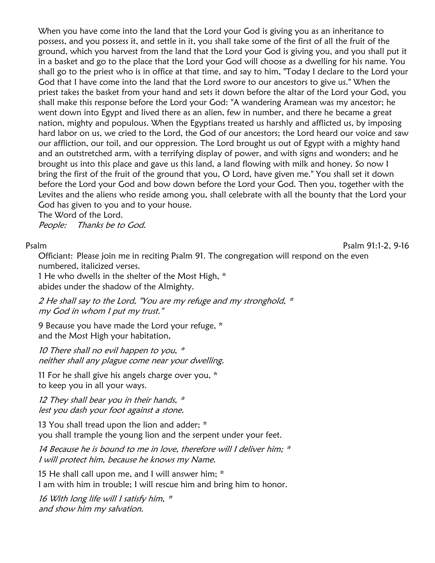When you have come into the land that the Lord your God is giving you as an inheritance to possess, and you possess it, and settle in it, you shall take some of the first of all the fruit of the ground, which you harvest from the land that the Lord your God is giving you, and you shall put it in a basket and go to the place that the Lord your God will choose as a dwelling for his name. You shall go to the priest who is in office at that time, and say to him, "Today I declare to the Lord your God that I have come into the land that the Lord swore to our ancestors to give us." When the priest takes the basket from your hand and sets it down before the altar of the Lord your God, you shall make this response before the Lord your God: "A wandering Aramean was my ancestor; he went down into Egypt and lived there as an alien, few in number, and there he became a great nation, mighty and populous. When the Egyptians treated us harshly and afflicted us, by imposing hard labor on us, we cried to the Lord, the God of our ancestors; the Lord heard our voice and saw our affliction, our toil, and our oppression. The Lord brought us out of Egypt with a mighty hand and an outstretched arm, with a terrifying display of power, and with signs and wonders; and he brought us into this place and gave us this land, a land flowing with milk and honey. So now I bring the first of the fruit of the ground that you, O Lord, have given me." You shall set it down before the Lord your God and bow down before the Lord your God. Then you, together with the Levites and the aliens who reside among you, shall celebrate with all the bounty that the Lord your God has given to you and to your house.

The Word of the Lord.

People: Thanks be to God.

Psalm Psalm 91:1-2, 9-16

Officiant: Please join me in reciting Psalm 91. The congregation will respond on the even numbered, italicized verses.

1 He who dwells in the shelter of the Most High, \* abides under the shadow of the Almighty.

2 He shall say to the Lord, "You are my refuge and my stronghold, \* my God in whom I put my trust."

9 Because you have made the Lord your refuge, \* and the Most High your habitation,

10 There shall no evil happen to you, \* neither shall any plague come near your dwelling.

11 For he shall give his angels charge over you, \* to keep you in all your ways.

12 They shall bear you in their hands, \* lest you dash your foot against a stone.

13 You shall tread upon the lion and adder; \* you shall trample the young lion and the serpent under your feet.

14 Because he is bound to me in love, therefore will I deliver him; \* I will protect him, because he knows my Name.

15 He shall call upon me, and I will answer him; \* I am with him in trouble; I will rescue him and bring him to honor.

16 With long life will I satisfy him,  $*$ and show him my salvation.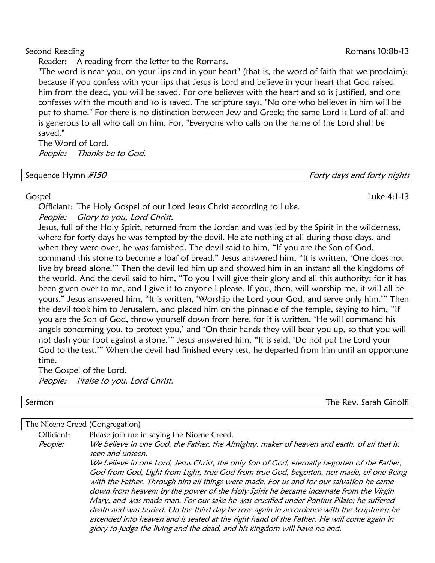Reader: A reading from the letter to the Romans.

"The word is near you, on your lips and in your heart" (that is, the word of faith that we proclaim); because if you confess with your lips that Jesus is Lord and believe in your heart that God raised him from the dead, you will be saved. For one believes with the heart and so is justified, and one confesses with the mouth and so is saved. The scripture says, "No one who believes in him will be put to shame." For there is no distinction between Jew and Greek; the same Lord is Lord of all and is generous to all who call on him. For, "Everyone who calls on the name of the Lord shall be saved."

The Word of Lord. People: Thanks be to God.

| Sequence Hymn #150 | Forty days and forty nights |
|--------------------|-----------------------------|
|                    |                             |

Officiant: The Holy Gospel of our Lord Jesus Christ according to Luke. People: Glory to you, Lord Christ.

Jesus, full of the Holy Spirit, returned from the Jordan and was led by the Spirit in the wilderness, where for forty days he was tempted by the devil. He ate nothing at all during those days, and when they were over, he was famished. The devil said to him, "If you are the Son of God, command this stone to become a loaf of bread." Jesus answered him, "It is written, 'One does not live by bread alone.'" Then the devil led him up and showed him in an instant all the kingdoms of the world. And the devil said to him, "To you I will give their glory and all this authority; for it has been given over to me, and I give it to anyone I please. If you, then, will worship me, it will all be yours." Jesus answered him, "It is written, 'Worship the Lord your God, and serve only him.'" Then the devil took him to Jerusalem, and placed him on the pinnacle of the temple, saying to him, "If you are the Son of God, throw yourself down from here, for it is written, 'He will command his angels concerning you, to protect you,' and 'On their hands they will bear you up, so that you will not dash your foot against a stone.'" Jesus answered him, "It is said, 'Do not put the Lord your God to the test.'" When the devil had finished every test, he departed from him until an opportune time.

The Gospel of the Lord. People: Praise to you, Lord Christ.

Officiant: Please join me in saying the Nicene Creed.

Sermon The Rev. Sarah Ginolfi

### The Nicene Creed (Congregation)

People: We believe in one God, the Father, the Almighty, maker of heaven and earth, of all that is, seen and unseen. We believe in one Lord, Jesus Christ, the only Son of God, eternally begotten of the Father, God from God, Light from Light, true God from true God, begotten, not made, of one Being with the Father. Through him all things were made. For us and for our salvation he came down from heaven: by the power of the Holy Spirit he became incarnate from the Virgin Mary, and was made man. For our sake he was crucified under Pontius Pilate; he suffered death and was buried. On the third day he rose again in accordance with the Scriptures; he ascended into heaven and is seated at the right hand of the Father. He will come again in glory to judge the living and the dead, and his kingdom will have no end.

### Gospel Luke 4:1-13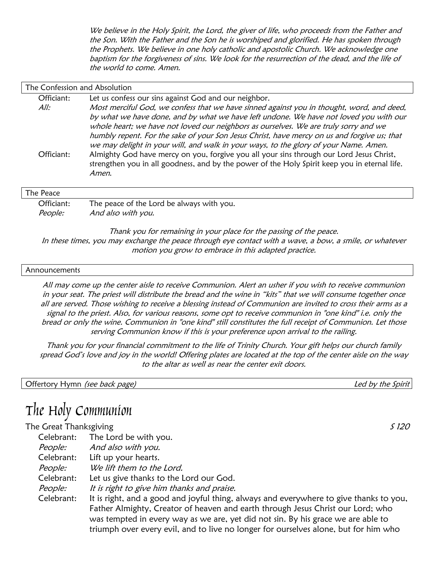We believe in the Holy Spirit, the Lord, the giver of life, who proceeds from the Father and the Son. With the Father and the Son he is worshiped and glorified. He has spoken through the Prophets. We believe in one holy catholic and apostolic Church. We acknowledge one baptism for the forgiveness of sins. We look for the resurrection of the dead, and the life of the world to come. Amen.

| The Confession and Absolution |                                                                                                                                                                                                                                                                                                                                                                                                                                                                   |
|-------------------------------|-------------------------------------------------------------------------------------------------------------------------------------------------------------------------------------------------------------------------------------------------------------------------------------------------------------------------------------------------------------------------------------------------------------------------------------------------------------------|
| Officiant:                    | Let us confess our sins against God and our neighbor.                                                                                                                                                                                                                                                                                                                                                                                                             |
| All:                          | Most merciful God, we confess that we have sinned against you in thought, word, and deed,<br>by what we have done, and by what we have left undone. We have not loved you with our<br>whole heart; we have not loved our neighbors as ourselves. We are truly sorry and we<br>humbly repent. For the sake of your Son Jesus Christ, have mercy on us and forgive us; that<br>we may delight in your will, and walk in your ways, to the glory of your Name. Amen. |
| Officiant:                    | Almighty God have mercy on you, forgive you all your sins through our Lord Jesus Christ,<br>strengthen you in all goodness, and by the power of the Holy Spirit keep you in eternal life.<br>Amen.                                                                                                                                                                                                                                                                |
| The Peace                     |                                                                                                                                                                                                                                                                                                                                                                                                                                                                   |
| Officiant:                    | The peace of the Lord be always with you.                                                                                                                                                                                                                                                                                                                                                                                                                         |
| People:                       | And also with you.                                                                                                                                                                                                                                                                                                                                                                                                                                                |

Thank you for remaining in your place for the passing of the peace. In these times, you may exchange the peace through eye contact with a wave, a bow, a smile, or whatever motion you grow to embrace in this adapted practice.

### **Announcements**

All may come up the center aisle to receive Communion. Alert an usher if you wish to receive communion in your seat. The priest will distribute the bread and the wine in "kits" that we will consume together once all are served. Those wishing to receive a blessing instead of Communion are invited to cross their arms as a signal to the priest. Also, for various reasons, some opt to receive communion in "one kind" i.e. only the bread or only the wine. Communion in "one kind" still constitutes the full receipt of Communion. Let those serving Communion know if this is your preference upon arrival to the railing.

Thank you for your financial commitment to the life of Trinity Church. Your gift helps our church family spread God's love and joy in the world! Offering plates are located at the top of the center aisle on the way to the altar as well as near the center exit doors.

Offertory Hymn (see back page) and the Spirit settled by the Spirit settled by the Spirit

## The Holy Communion

### The Great Thanksgiving S 120

Celebrant: The Lord be with you. People: And also with you. Celebrant: Lift up your hearts. People: We lift them to the Lord. Celebrant: Let us give thanks to the Lord our God. People: It is right to give him thanks and praise. Celebrant: It is right, and a good and joyful thing, always and everywhere to give thanks to you, Father Almighty, Creator of heaven and earth through Jesus Christ our Lord; who was tempted in every way as we are, yet did not sin. By his grace we are able to triumph over every evil, and to live no longer for ourselves alone, but for him who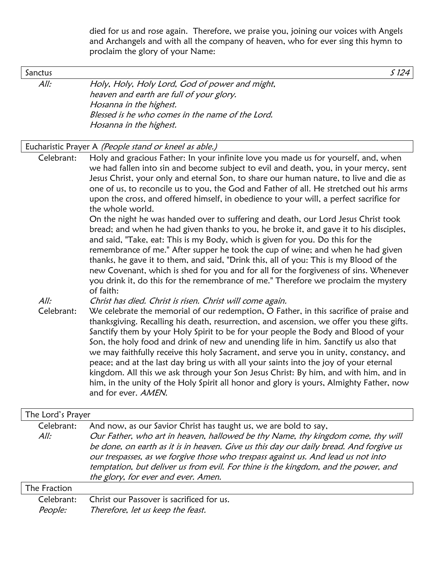died for us and rose again. Therefore, we praise you, joining our voices with Angels and Archangels and with all the company of heaven, who for ever sing this hymn to proclaim the glory of your Name:

Sanctus  $S$  124

All: Holy, Holy, Holy Lord, God of power and might, heaven and earth are full of your glory. Hosanna in the highest. Blessed is he who comes in the name of the Lord. Hosanna in the highest.

### Eucharistic Prayer A (People stand or kneel as able.)

Celebrant: Holy and gracious Father: In your infinite love you made us for yourself, and, when we had fallen into sin and become subject to evil and death, you, in your mercy, sent Jesus Christ, your only and eternal Son, to share our human nature, to live and die as one of us, to reconcile us to you, the God and Father of all. He stretched out his arms upon the cross, and offered himself, in obedience to your will, a perfect sacrifice for the whole world.

On the night he was handed over to suffering and death, our Lord Jesus Christ took bread; and when he had given thanks to you, he broke it, and gave it to his disciples, and said, "Take, eat: This is my Body, which is given for you. Do this for the remembrance of me." After supper he took the cup of wine; and when he had given thanks, he gave it to them, and said, "Drink this, all of you: This is my Blood of the new Covenant, which is shed for you and for all for the forgiveness of sins. Whenever you drink it, do this for the remembrance of me." Therefore we proclaim the mystery of faith:

All: Christ has died. Christ is risen. Christ will come again.

Celebrant: We celebrate the memorial of our redemption, O Father, in this sacrifice of praise and thanksgiving. Recalling his death, resurrection, and ascension, we offer you these gifts. Sanctify them by your Holy Spirit to be for your people the Body and Blood of your Son, the holy food and drink of new and unending life in him. Sanctify us also that we may faithfully receive this holy Sacrament, and serve you in unity, constancy, and peace; and at the last day bring us with all your saints into the joy of your eternal kingdom. All this we ask through your Son Jesus Christ: By him, and with him, and in him, in the unity of the Holy Spirit all honor and glory is yours, Almighty Father, now and for ever. AMEN.

| The Lord's Prayer     |                                                                                                                                                                                                                                                                                                                                                                                                                                                                 |
|-----------------------|-----------------------------------------------------------------------------------------------------------------------------------------------------------------------------------------------------------------------------------------------------------------------------------------------------------------------------------------------------------------------------------------------------------------------------------------------------------------|
| Celebrant:<br>All:    | And now, as our Savior Christ has taught us, we are bold to say,<br>Our Father, who art in heaven, hallowed be thy Name, thy kingdom come, thy will<br>be done, on earth as it is in heaven. Give us this day our daily bread. And forgive us<br>our trespasses, as we forgive those who trespass against us. And lead us not into<br>temptation, but deliver us from evil. For thine is the kingdom, and the power, and<br>the glory, for ever and ever. Amen. |
| The Fraction          |                                                                                                                                                                                                                                                                                                                                                                                                                                                                 |
| Celebrant:<br>People: | Christ our Passover is sacrificed for us.<br>Therefore, let us keep the feast.                                                                                                                                                                                                                                                                                                                                                                                  |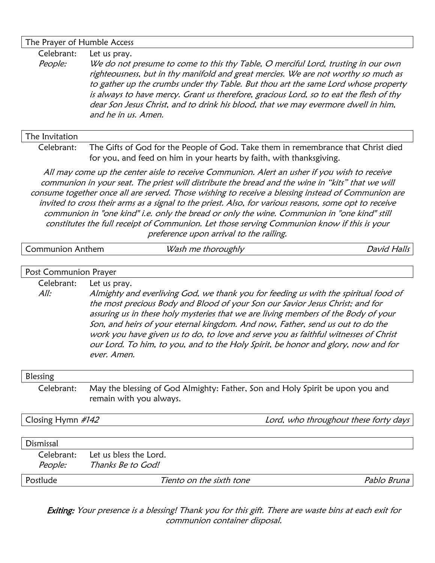### The Prayer of Humble Access

Celebrant: Let us pray.

People: We do not presume to come to this thy Table, O merciful Lord, trusting in our own righteousness, but in thy manifold and great mercies. We are not worthy so much as to gather up the crumbs under thy Table. But thou art the same Lord whose property is always to have mercy. Grant us therefore, gracious Lord, so to eat the flesh of thy dear Son Jesus Christ, and to drink his blood, that we may evermore dwell in him, and he in us. Amen.

### The Invitation

Celebrant: The Gifts of God for the People of God. Take them in remembrance that Christ died for you, and feed on him in your hearts by faith, with thanksgiving.

All may come up the center aisle to receive Communion. Alert an usher if you wish to receive communion in your seat. The priest will distribute the bread and the wine in "kits" that we will consume together once all are served. Those wishing to receive a blessing instead of Communion are invited to cross their arms as a signal to the priest. Also, for various reasons, some opt to receive communion in "one kind" i.e. only the bread or only the wine. Communion in "one kind" still constitutes the full receipt of Communion. Let those serving Communion know if this is your preference upon arrival to the railing.

| <b>Communion Anthem</b> |                                                                                                                                                                                                                                                                                                                                                                                                                                                                                                                                         | Wash me thoroughly                                                                                       | <b>David Halls</b>                    |  |  |
|-------------------------|-----------------------------------------------------------------------------------------------------------------------------------------------------------------------------------------------------------------------------------------------------------------------------------------------------------------------------------------------------------------------------------------------------------------------------------------------------------------------------------------------------------------------------------------|----------------------------------------------------------------------------------------------------------|---------------------------------------|--|--|
| Post Communion Prayer   |                                                                                                                                                                                                                                                                                                                                                                                                                                                                                                                                         |                                                                                                          |                                       |  |  |
|                         |                                                                                                                                                                                                                                                                                                                                                                                                                                                                                                                                         |                                                                                                          |                                       |  |  |
| Celebrant:              | Let us pray.                                                                                                                                                                                                                                                                                                                                                                                                                                                                                                                            |                                                                                                          |                                       |  |  |
| All:                    | Almighty and everliving God, we thank you for feeding us with the spiritual food of<br>the most precious Body and Blood of your Son our Savior Jesus Christ; and for<br>assuring us in these holy mysteries that we are living members of the Body of your<br>Son, and heirs of your eternal kingdom. And now, Father, send us out to do the<br>work you have given us to do, to love and serve you as faithful witnesses of Christ<br>our Lord. To him, to you, and to the Holy Spirit, be honor and glory, now and for<br>ever. Amen. |                                                                                                          |                                       |  |  |
| Blessing                |                                                                                                                                                                                                                                                                                                                                                                                                                                                                                                                                         |                                                                                                          |                                       |  |  |
| Celebrant:              |                                                                                                                                                                                                                                                                                                                                                                                                                                                                                                                                         | May the blessing of God Almighty: Father, Son and Holy Spirit be upon you and<br>remain with you always. |                                       |  |  |
| Closing Hymn #142       |                                                                                                                                                                                                                                                                                                                                                                                                                                                                                                                                         |                                                                                                          | Lord, who throughout these forty days |  |  |
| Dismissal               |                                                                                                                                                                                                                                                                                                                                                                                                                                                                                                                                         |                                                                                                          |                                       |  |  |
| Celebrant:              | Let us bless the Lord.                                                                                                                                                                                                                                                                                                                                                                                                                                                                                                                  |                                                                                                          |                                       |  |  |
| People:                 | Thanks Be to God!                                                                                                                                                                                                                                                                                                                                                                                                                                                                                                                       |                                                                                                          |                                       |  |  |
| Postlude                |                                                                                                                                                                                                                                                                                                                                                                                                                                                                                                                                         | Tiento on the sixth tone                                                                                 | Pablo Bruna                           |  |  |
|                         |                                                                                                                                                                                                                                                                                                                                                                                                                                                                                                                                         |                                                                                                          |                                       |  |  |

Exiting: Your presence is a blessing! Thank you for this gift. There are waste bins at each exit for communion container disposal.